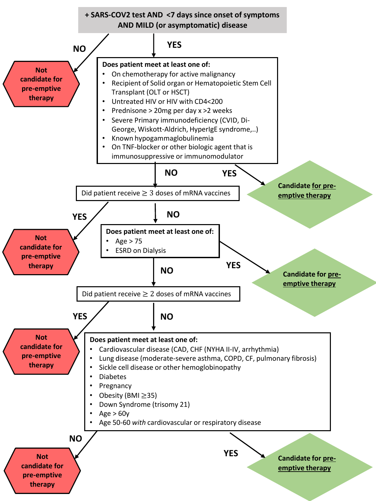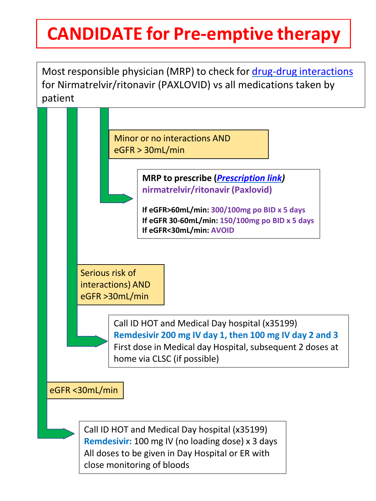## **CANDIDATE for Pre-emptive therapy**

Most responsible physician (MRP) to check for drug-drug [interactions](https://reference.medscape.com/drug-interactionchecker) for Nirmatrelvir/ritonavir (PAXLOVID) vs all medications taken by patient

Minor or no interactions AND eGFR > 30mL/min **MRP to prescribe (***[Prescription](https://www.inesss.qc.ca/covid-19/traitements-specifiques-a-la-covid-19/nirmatrelvir-/-ritonavir-paxlovid.html) link)* **nirmatrelvir/ritonavir (Paxlovid) If eGFR>60mL/min: 300/100mg po BID x 5 days If eGFR 30-60mL/min: 150/100mg po BID x 5 days If eGFR<30mL/min: AVOID** Serious risk of interactions) AND eGFR >30mL/min Call ID HOT and Medical Day hospital (x35199) **Remdesivir 200 mg IV day 1, then 100 mg IV day 2 and 3** First dose in Medical day Hospital, subsequent 2 doses at home via CLSC (if possible) eGFR <30mL/min Call ID HOT and Medical Day hospital (x35199)

**Remdesivir:** 100 mg IV (no loading dose) x 3 days All doses to be given in Day Hospital or ER with close monitoring of bloods